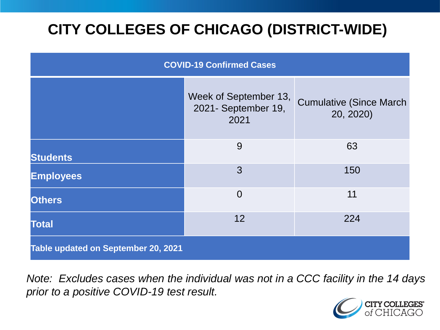# **CITY COLLEGES OF CHICAGO (DISTRICT-WIDE)**

| <b>COVID-19 Confirmed Cases</b>     |                                                      |                                              |
|-------------------------------------|------------------------------------------------------|----------------------------------------------|
|                                     | Week of September 13,<br>2021- September 19,<br>2021 | <b>Cumulative (Since March)</b><br>20, 2020) |
| <b>Students</b>                     | 9                                                    | 63                                           |
| <b>Employees</b>                    | 3                                                    | 150                                          |
| <b>Others</b>                       | $\overline{0}$                                       | 11                                           |
| <b>Total</b>                        | 12                                                   | 224                                          |
| Table updated on September 20, 2021 |                                                      |                                              |

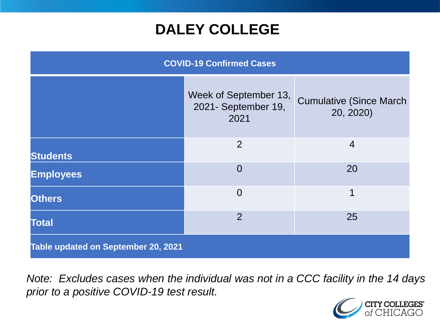### **DALEY COLLEGE**

| <b>COVID-19 Confirmed Cases</b>     |                                                      |                                              |
|-------------------------------------|------------------------------------------------------|----------------------------------------------|
|                                     | Week of September 13,<br>2021- September 19,<br>2021 | <b>Cumulative (Since March)</b><br>20, 2020) |
| <b>Students</b>                     | 2                                                    | $\overline{4}$                               |
| <b>Employees</b>                    | $\overline{0}$                                       | 20                                           |
| <b>Others</b>                       | $\overline{0}$                                       | $\mathbf 1$                                  |
| <b>Total</b>                        | $\overline{2}$                                       | 25                                           |
| Table updated on September 20, 2021 |                                                      |                                              |

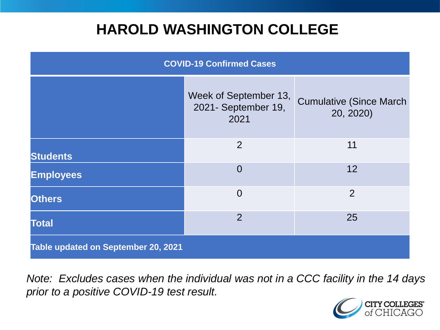### **HAROLD WASHINGTON COLLEGE**

| <b>COVID-19 Confirmed Cases</b>     |                                                      |                                              |
|-------------------------------------|------------------------------------------------------|----------------------------------------------|
|                                     | Week of September 13,<br>2021- September 19,<br>2021 | <b>Cumulative (Since March)</b><br>20, 2020) |
| <b>Students</b>                     | 2                                                    | 11                                           |
| <b>Employees</b>                    | $\Omega$                                             | 12                                           |
| <b>Others</b>                       | $\overline{0}$                                       | 2                                            |
| <b>Total</b>                        | $\overline{2}$                                       | 25                                           |
| Table updated on September 20, 2021 |                                                      |                                              |

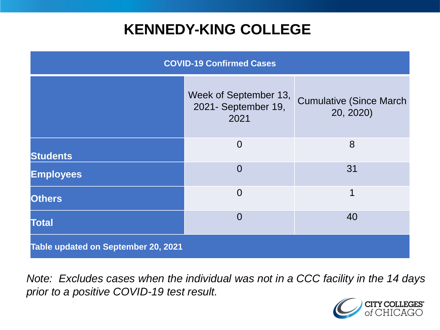### **KENNEDY-KING COLLEGE**

| <b>COVID-19 Confirmed Cases</b>     |                                                      |                                              |
|-------------------------------------|------------------------------------------------------|----------------------------------------------|
|                                     | Week of September 13,<br>2021- September 19,<br>2021 | <b>Cumulative (Since March)</b><br>20, 2020) |
| <b>Students</b>                     | $\overline{0}$                                       | 8                                            |
| <b>Employees</b>                    | $\Omega$                                             | 31                                           |
| <b>Others</b>                       | $\overline{0}$                                       | 1                                            |
| <b>Total</b>                        | $\overline{0}$                                       | 40                                           |
| Table updated on September 20, 2021 |                                                      |                                              |

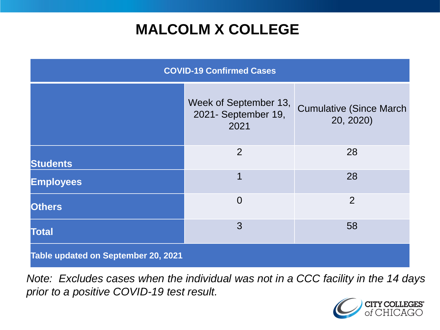# **MALCOLM X COLLEGE**

| <b>COVID-19 Confirmed Cases</b>     |                                                      |                                              |
|-------------------------------------|------------------------------------------------------|----------------------------------------------|
|                                     | Week of September 13,<br>2021- September 19,<br>2021 | <b>Cumulative (Since March)</b><br>20, 2020) |
| <b>Students</b>                     | 2                                                    | 28                                           |
| <b>Employees</b>                    | $\mathbf 1$                                          | 28                                           |
| <b>Others</b>                       | $\overline{0}$                                       | $\overline{2}$                               |
| <b>Total</b>                        | 3                                                    | 58                                           |
| Table updated on September 20, 2021 |                                                      |                                              |

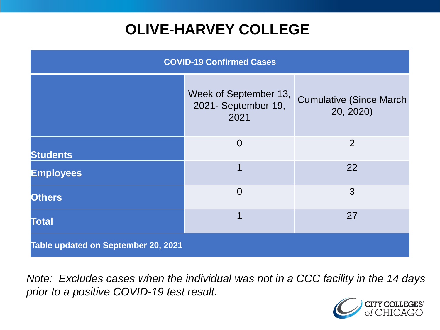# **OLIVE-HARVEY COLLEGE**

| <b>COVID-19 Confirmed Cases</b>     |                                                      |                                              |
|-------------------------------------|------------------------------------------------------|----------------------------------------------|
|                                     | Week of September 13,<br>2021- September 19,<br>2021 | <b>Cumulative (Since March)</b><br>20, 2020) |
| <b>Students</b>                     | $\overline{0}$                                       | 2                                            |
| <b>Employees</b>                    |                                                      | 22                                           |
| <b>Others</b>                       | $\overline{0}$                                       | 3                                            |
| <b>Total</b>                        |                                                      | 27                                           |
| Table updated on September 20, 2021 |                                                      |                                              |

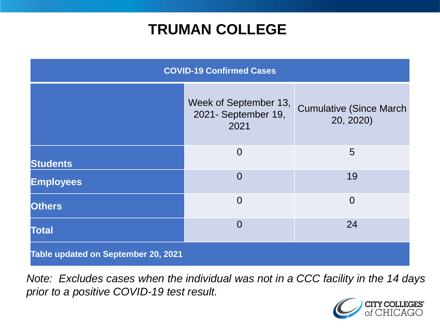### **TRUMAN COLLEGE**

| <b>COVID-19 Confirmed Cases</b>     |                                                      |                                              |
|-------------------------------------|------------------------------------------------------|----------------------------------------------|
|                                     | Week of September 13,<br>2021- September 19,<br>2021 | <b>Cumulative (Since March)</b><br>20, 2020) |
| <b>Students</b>                     | $\overline{0}$                                       | 5                                            |
| <b>Employees</b>                    | $\overline{0}$                                       | 19                                           |
| <b>Others</b>                       | $\overline{0}$                                       | $\overline{0}$                               |
| <b>Total</b>                        | $\overline{0}$                                       | 24                                           |
| Table updated on September 20, 2021 |                                                      |                                              |

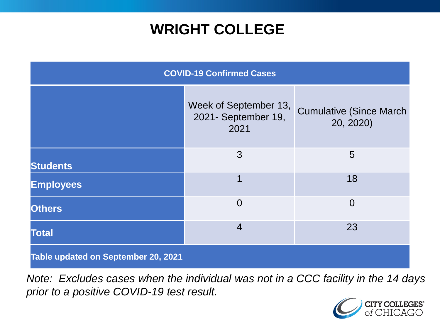### **WRIGHT COLLEGE**

| <b>COVID-19 Confirmed Cases</b>     |                                                      |                                              |
|-------------------------------------|------------------------------------------------------|----------------------------------------------|
|                                     | Week of September 13,<br>2021- September 19,<br>2021 | <b>Cumulative (Since March)</b><br>20, 2020) |
| <b>Students</b>                     | 3                                                    | 5                                            |
| <b>Employees</b>                    | 1                                                    | 18                                           |
| <b>Others</b>                       | $\overline{0}$                                       | $\overline{0}$                               |
| <b>Total</b>                        | $\overline{4}$                                       | 23                                           |
| Table updated on September 20, 2021 |                                                      |                                              |